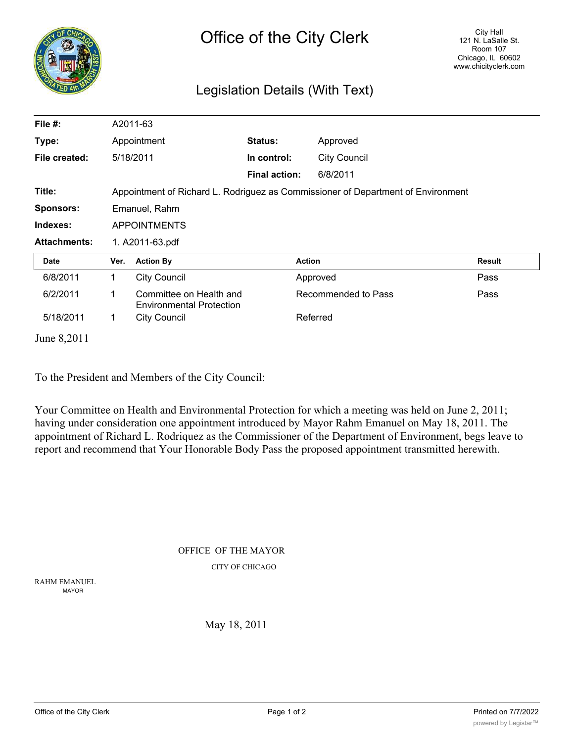|                                 |                                                                                  | <b>Office of the City Clerk</b>                            |                      |                     |                     | City Hall<br>121 N. LaSalle St.<br>Room 107<br>Chicago, IL 60602<br>www.chicityclerk.com |               |
|---------------------------------|----------------------------------------------------------------------------------|------------------------------------------------------------|----------------------|---------------------|---------------------|------------------------------------------------------------------------------------------|---------------|
| Legislation Details (With Text) |                                                                                  |                                                            |                      |                     |                     |                                                                                          |               |
| File $#$ :                      |                                                                                  | A2011-63                                                   |                      |                     |                     |                                                                                          |               |
| Type:                           | Appointment                                                                      |                                                            | <b>Status:</b>       |                     | Approved            |                                                                                          |               |
| File created:                   |                                                                                  | 5/18/2011                                                  | In control:          |                     | <b>City Council</b> |                                                                                          |               |
|                                 |                                                                                  |                                                            | <b>Final action:</b> |                     | 6/8/2011            |                                                                                          |               |
| Title:                          | Appointment of Richard L. Rodriguez as Commissioner of Department of Environment |                                                            |                      |                     |                     |                                                                                          |               |
| <b>Sponsors:</b>                | Emanuel, Rahm                                                                    |                                                            |                      |                     |                     |                                                                                          |               |
| Indexes:                        | <b>APPOINTMENTS</b>                                                              |                                                            |                      |                     |                     |                                                                                          |               |
| <b>Attachments:</b>             | 1. A2011-63.pdf                                                                  |                                                            |                      |                     |                     |                                                                                          |               |
| <b>Date</b>                     | Ver.                                                                             | <b>Action By</b>                                           |                      | <b>Action</b>       |                     |                                                                                          | <b>Result</b> |
| 6/8/2011                        | 1                                                                                | <b>City Council</b>                                        |                      | Approved            |                     |                                                                                          | Pass          |
| 6/2/2011                        | 1                                                                                | Committee on Health and<br><b>Environmental Protection</b> |                      | Recommended to Pass |                     |                                                                                          | Pass          |
| 5/18/2011                       | 1                                                                                | <b>City Council</b>                                        |                      |                     | Referred            |                                                                                          |               |
| June 8,2011                     |                                                                                  |                                                            |                      |                     |                     |                                                                                          |               |

To the President and Members of the City Council:

Your Committee on Health and Environmental Protection for which a meeting was held on June 2, 2011; having under consideration one appointment introduced by Mayor Rahm Emanuel on May 18, 2011. The appointment of Richard L. Rodriquez as the Commissioner of the Department of Environment, begs leave to report and recommend that Your Honorable Body Pass the proposed appointment transmitted herewith.

> OFFICE OF THE MAYOR CITY OF CHICAGO

RAHM EMANUEL MAYOR

May 18, 2011